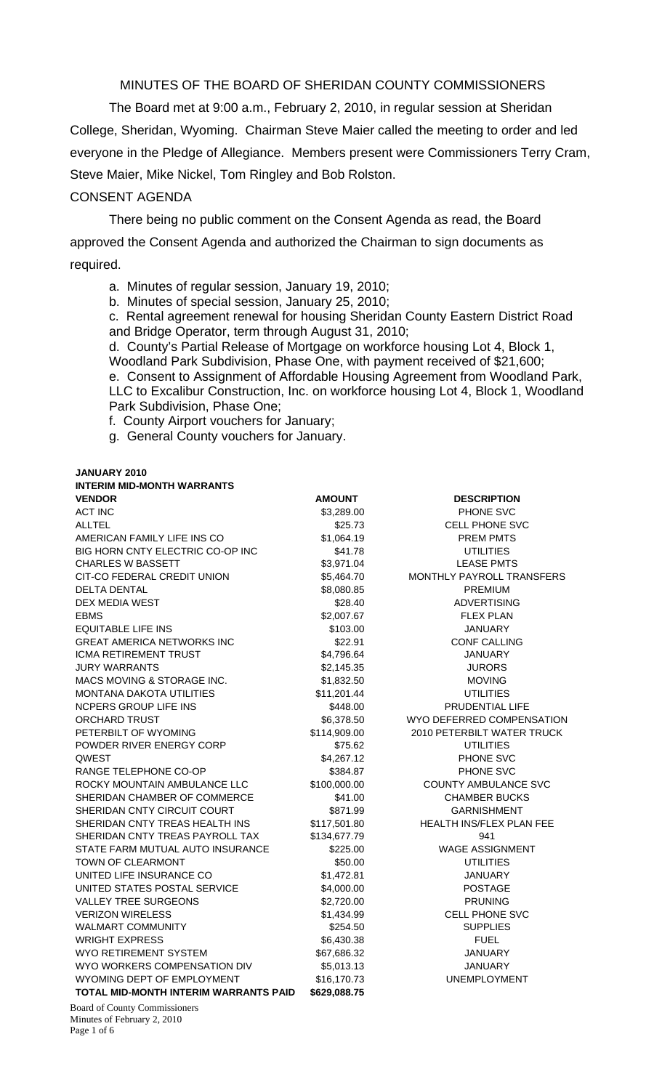MINUTES OF THE BOARD OF SHERIDAN COUNTY COMMISSIONERS

 The Board met at 9:00 a.m., February 2, 2010, in regular session at Sheridan College, Sheridan, Wyoming. Chairman Steve Maier called the meeting to order and led everyone in the Pledge of Allegiance. Members present were Commissioners Terry Cram, Steve Maier, Mike Nickel, Tom Ringley and Bob Rolston.

#### CONSENT AGENDA

There being no public comment on the Consent Agenda as read, the Board approved the Consent Agenda and authorized the Chairman to sign documents as required.

- a. Minutes of regular session, January 19, 2010;
- b. Minutes of special session, January 25, 2010;

c. Rental agreement renewal for housing Sheridan County Eastern District Road and Bridge Operator, term through August 31, 2010;

d. County's Partial Release of Mortgage on workforce housing Lot 4, Block 1, Woodland Park Subdivision, Phase One, with payment received of \$21,600; e. Consent to Assignment of Affordable Housing Agreement from Woodland Park, LLC to Excalibur Construction, Inc. on workforce housing Lot 4, Block 1, Woodland Park Subdivision, Phase One;

f. County Airport vouchers for January;

g. General County vouchers for January.

#### **JANUARY 2010**

| <b>INTERIM MID-MONTH WARRANTS</b> |
|-----------------------------------|
|-----------------------------------|

| <b>VENDOR</b>                                | <b>AMOUNT</b> | <b>DESCRIPTION</b>          |
|----------------------------------------------|---------------|-----------------------------|
| <b>ACT INC</b>                               | \$3,289.00    | PHONE SVC                   |
| <b>ALLTEL</b>                                | \$25.73       | <b>CELL PHONE SVC</b>       |
| AMERICAN FAMILY LIFE INS CO                  | \$1,064.19    | <b>PREM PMTS</b>            |
| BIG HORN CNTY ELECTRIC CO-OP INC             | \$41.78       | <b>UTILITIES</b>            |
| <b>CHARLES W BASSETT</b>                     | \$3,971.04    | <b>LEASE PMTS</b>           |
| CIT-CO FEDERAL CREDIT UNION                  | \$5,464.70    | MONTHLY PAYROLL TRANSFERS   |
| <b>DELTA DENTAL</b>                          | \$8,080.85    | <b>PREMIUM</b>              |
| DEX MEDIA WEST                               | \$28.40       | <b>ADVERTISING</b>          |
| <b>EBMS</b>                                  | \$2,007.67    | <b>FLEX PLAN</b>            |
| <b>EQUITABLE LIFE INS</b>                    | \$103.00      | <b>JANUARY</b>              |
| <b>GREAT AMERICA NETWORKS INC</b>            | \$22.91       | <b>CONF CALLING</b>         |
| ICMA RETIREMENT TRUST                        | \$4,796.64    | <b>JANUARY</b>              |
| <b>JURY WARRANTS</b>                         | \$2,145.35    | <b>JURORS</b>               |
| MACS MOVING & STORAGE INC.                   | \$1,832.50    | <b>MOVING</b>               |
| <b>MONTANA DAKOTA UTILITIES</b>              | \$11,201.44   | <b>UTILITIES</b>            |
| <b>NCPERS GROUP LIFE INS</b>                 | \$448.00      | PRUDENTIAL LIFE             |
| <b>ORCHARD TRUST</b>                         | \$6,378.50    | WYO DEFERRED COMPENSATION   |
| PETERBILT OF WYOMING                         | \$114,909.00  | 2010 PETERBILT WATER TRUCK  |
| POWDER RIVER ENERGY CORP                     | \$75.62       | <b>UTILITIES</b>            |
| <b>OWEST</b>                                 | \$4,267.12    | PHONE SVC                   |
| RANGE TELEPHONE CO-OP                        | \$384.87      | PHONE SVC                   |
| ROCKY MOUNTAIN AMBULANCE LLC                 | \$100,000.00  | <b>COUNTY AMBULANCE SVC</b> |
| SHERIDAN CHAMBER OF COMMERCE                 | \$41.00       | <b>CHAMBER BUCKS</b>        |
| SHERIDAN CNTY CIRCUIT COURT                  | \$871.99      | <b>GARNISHMENT</b>          |
| SHERIDAN CNTY TREAS HEALTH INS               | \$117,501.80  | HEALTH INS/FLEX PLAN FEE    |
| SHERIDAN CNTY TREAS PAYROLL TAX              | \$134,677.79  | 941                         |
| STATE FARM MUTUAL AUTO INSURANCE             | \$225.00      | <b>WAGE ASSIGNMENT</b>      |
| <b>TOWN OF CLEARMONT</b>                     | \$50.00       | <b>UTILITIES</b>            |
| UNITED LIFE INSURANCE CO                     | \$1,472.81    | <b>JANUARY</b>              |
| UNITED STATES POSTAL SERVICE                 | \$4,000.00    | <b>POSTAGE</b>              |
| <b>VALLEY TREE SURGEONS</b>                  | \$2,720.00    | <b>PRUNING</b>              |
| <b>VERIZON WIRELESS</b>                      | \$1,434.99    | <b>CELL PHONE SVC</b>       |
| WALMART COMMUNITY                            | \$254.50      | <b>SUPPLIES</b>             |
| <b>WRIGHT EXPRESS</b>                        | \$6,430.38    | <b>FUEL</b>                 |
| WYO RETIREMENT SYSTEM                        | \$67,686.32   | <b>JANUARY</b>              |
| WYO WORKERS COMPENSATION DIV                 | \$5,013.13    | <b>JANUARY</b>              |
| WYOMING DEPT OF EMPLOYMENT                   | \$16,170.73   | <b>UNEMPLOYMENT</b>         |
| <b>TOTAL MID-MONTH INTERIM WARRANTS PAID</b> | \$629,088.75  |                             |
|                                              |               |                             |

Board of County Commissioners Minutes of February 2, 2010 Page 1 of 6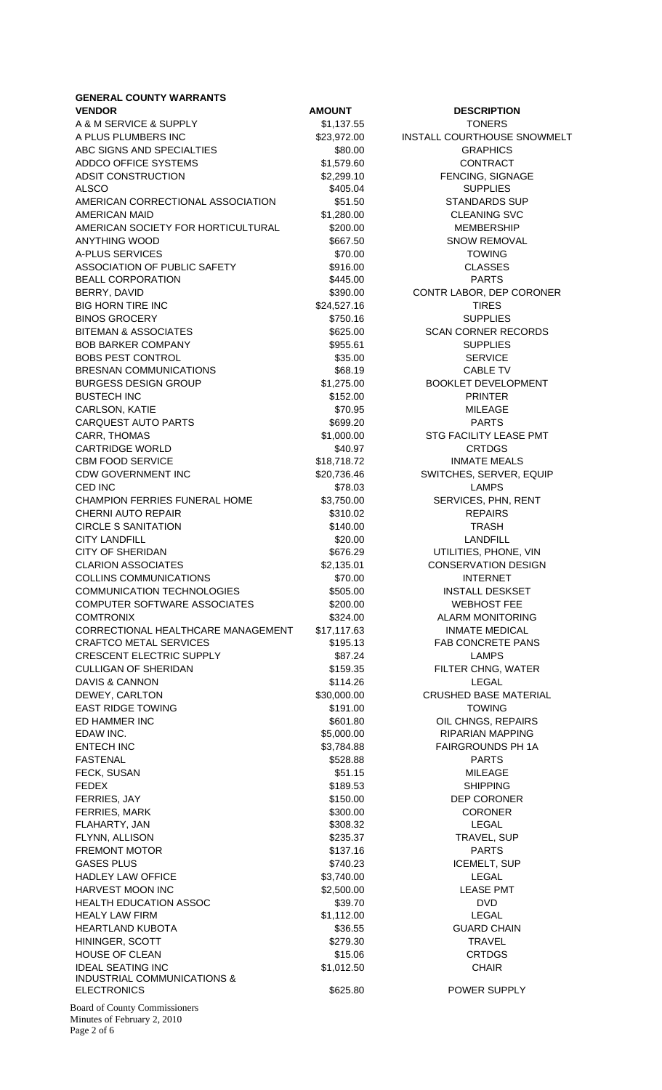**GENERAL COUNTY WARRANTS VENDOR CONSUMING AMOUNT AMOUNT DESCRIPTION** A & M SERVICE & SUPPLY \$1,137.55 TONERS A PLUS PLUMBERS INC **523,972.00** INSTALL COURTHOUSE SNOWMELT ABC SIGNS AND SPECIALTIES **\$80.00** \$80.00 GRAPHICS ADDCO OFFICE SYSTEMS  $$1,579.60$  CONTRACT ADSIT CONSTRUCTION  $$2,299.10$  FENCING, SIGNAGE ALSCO \$405.04 SUPPLIES AMERICAN CORRECTIONAL ASSOCIATION  $$51.50$  STANDARDS SUP AMERICAN MAID **\$1,280.00** \$1,280.00 CLEANING SVC AMERICAN SOCIETY FOR HORTICULTURAL \$200.00 MEMBERSHIP ANYTHING WOOD **\$667.50** SNOW REMOVAL A-PLUS SERVICES **\$70.00** \$70.00 TOWING ASSOCIATION OF PUBLIC SAFETY \$916.00 \$916.00 CLASSES BEALL CORPORATION **5445.00** \$445.00 PARTS BERRY, DAVID \$390.00 CONTR LABOR, DEP CORONER BIG HORN TIRE INC **\$24,527.16** \$24,527.16 TIRES BINOS GROCERY **\$750.16** SUPPLIES BITEMAN & ASSOCIATES  $$625.00$  SCAN CORNER RECORDS BOB BARKER COMPANY **1955.61** \$955.61 SUPPLIES BOBS PEST CONTROL SERVICE SERVICE BRESNAN COMMUNICATIONS 668.19 S68.19 CABLE TV BURGESS DESIGN GROUP  $$1,275.00$  BOOKLET DEVELOPMENT BUSTECH INC **BUSTECH INC BUSTECH INC CONSUMING A STATE ASSAULT A** \$152.00 **PRINTER** CARLSON, KATIE \$70.95 MILEAGE CARQUEST AUTO PARTS **1998 1999.20** S699.20 **PARTS** CARR, THOMAS \$1,000.00 STG FACILITY LEASE PMT CARTRIDGE WORLD **\$40.97** CARTRIDGE WORLD CBM FOOD SERVICE **\$18,718.72** INMATE MEALS CDW GOVERNMENT INC  $$20,736.46$  SWITCHES, SERVER, EQUIP CED INC **EXAMPS** CHAMPION FERRIES FUNERAL HOME \$3,750.00 SERVICES, PHN, RENT CHERNI AUTO REPAIR **1990 120 CHERNI AUTO REPAIRS** \$310.02 REPAIRS CIRCLE S SANITATION **\$140.00** \$140.00 TRASH CITY LANDFILL **320.00** LANDFILL **320.00** LANDFILL CITY OF SHERIDAN \$676.29 UTILITIES, PHONE, VIN CLARION ASSOCIATES **\$2,135.01** \$2,135.01 CONSERVATION DESIGN COLLINS COMMUNICATIONS \$70.00 INTERNET COMMUNICATION TECHNOLOGIES 6505.00 INSTALL DESKSET COMPUTER SOFTWARE ASSOCIATES  $$200.00$  WEBHOST FEE COMTRONIX **6324.00 COMTRONIX COMTRONIX** CORRECTIONAL HEALTHCARE MANAGEMENT \$17,117.63 INMATE MEDICAL CRAFTCO METAL SERVICES **\$195.13** FAB CONCRETE PANS CRESCENT ELECTRIC SUPPLY 587.24 SATE SERIES AND STRUCK SUPPLY CULLIGAN OF SHERIDAN \$159.35 FILTER CHNG, WATER DAVIS & CANNON **\$114.26** LEGAL DEWEY, CARLTON \$30,000.00 CRUSHED BASE MATERIAL EAST RIDGE TOWING **EAST RIDGE TOWING \$191.00** \$191.00 TOWING ED HAMMER INC **EXECUTE:** THE SECTION OF SECTION AND SECTION OF CHNGS, REPAIRS EDAW INC. **\$5,000.00** S5,000.00 RIPARIAN MAPPING ENTECH INC **63,784.88** FAIRGROUNDS PH 1A FASTENAL \$528.88 PARTS FECK, SUSAN **EXECUTE A SUSAN SECURE A SECURE A SECURE A SS1.15** MILEAGE FEDEX \$189.53 SHIPPING FERRIES, JAY \$150.00 DEP CORONER FERRIES, MARK \$300.00 \$300.00 CORONER FLAHARTY, JAN \$308.32 LEGAL FLYNN, ALLISON \$235.37 TRAVEL, SUP FREMONT MOTOR **Example 20** State Control and State Control & State Control and PARTS GASES PLUS \$740.23 ICEMELT, SUP HADLEY LAW OFFICE **12000** S3,740.00 CLEGAL HARVEST MOON INC  $$2,500.00$  LEASE PMT HEALTH EDUCATION ASSOC \$39.70 \$39.70 DVD HEALY LAW FIRM  $$1,112.00$  LEGAL HEARTLAND KUBOTA \$36.55 GUARD CHAIN HININGER, SCOTT \$279.30 TRAVEL HOUSE OF CLEAN **Example 20** CRTDGS 415.06 **CRTDGS** IDEAL SEATING INC **\$1,012.50** S1,012.50 CHAIR INDUSTRIAL COMMUNICATIONS & ELECTRONICS \$625.80 POWER SUPPLY

Board of County Commissioners Minutes of February 2, 2010 Page 2 of 6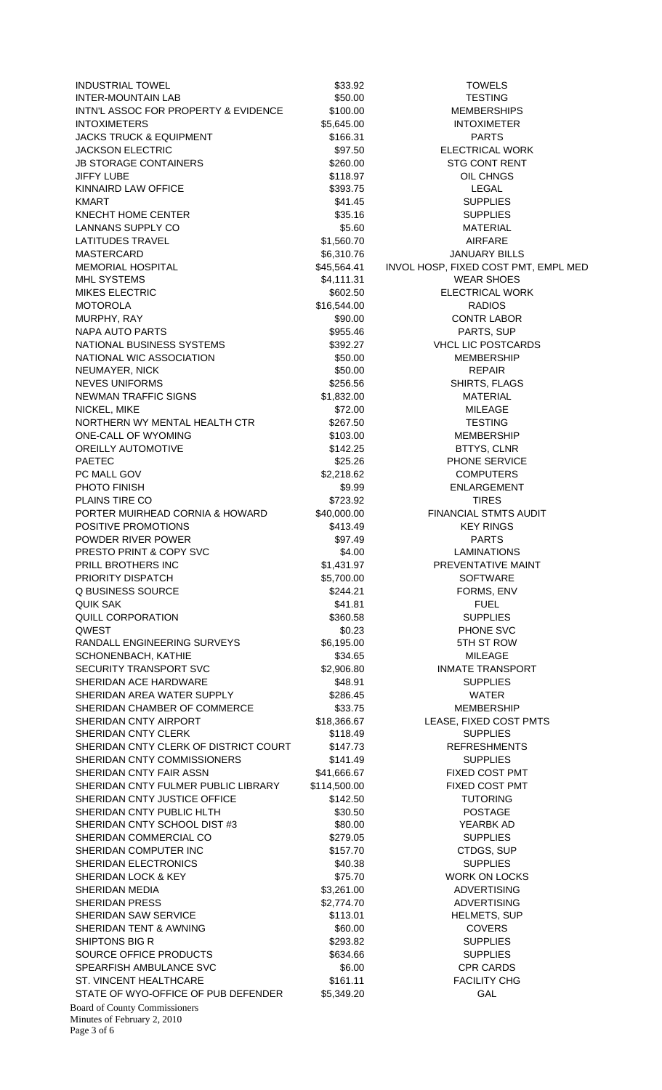Board of County Commissioners INDUSTRIAL TOWEL \$33.92 TOWELS INTER-MOUNTAIN LAB **\$50.00** \$50.00 TESTING INTN'L ASSOC FOR PROPERTY & EVIDENCE \$100.00 MEMBERSHIPS INTOXIMETERS \$5,645.00 INTOXIMETER JACKS TRUCK & EQUIPMENT \$166.31 PARTS JACKSON ELECTRIC **1992** S97.50 ELECTRICAL WORK JB STORAGE CONTAINERS  $$260.00$  STG CONT RENT JIFFY LUBE \$118.97 OIL CHNGS KINNAIRD LAW OFFICE **A CONSTRUCTED A CONSTRUCT A CONSTRUCT S** \$393.75 LEGAL KMART \$41.45 SUPPLIES KNECHT HOME CENTER **SAULT AND SET A SUPPLIES** \$35.16 SUPPLIES LANNANS SUPPLY CO **\$5.60** \$5.60 MATERIAL LATITUDES TRAVEL **12000 CONTRACTES 10000 CONTRACTES 31,560.70** AIRFARE MASTERCARD \$6,310.76 S6,310.76 JANUARY BILLS MEMORIAL HOSPITAL \$45,564.41 INVOL HOSP, FIXED COST PMT, EMPL MED MHL SYSTEMS  $$4,111.31$  WEAR SHOES MIKES ELECTRIC **1200 CONTROLLER SECONDE S602.50** ELECTRICAL WORK MOTOROLA \$16,544.00 RADIOS MURPHY. RAY **\$90.00** \$90.00 CONTR LABOR NAPA AUTO PARTS **Example 20 Second 10 SSS-46** PARTS, SUP NATIONAL BUSINESS SYSTEMS  $$392.27$  VHCL LIC POSTCARDS NATIONAL WIC ASSOCIATION  $$50.00$ MEMBERSHIP NEUMAYER, NICK **but a struck and the set of the struck of the struck and struck and struck and struck and struck** NEVES UNIFORMS \$256.56 SHIRTS, FLAGS NEWMAN TRAFFIC SIGNS \$1,832.00 MATERIAL NICKEL, MIKE \$72.00 MILEAGE NORTHERN WY MENTAL HEALTH CTR \$267.50 TESTING ONE-CALL OF WYOMING **\$103.00** \$103.00 MEMBERSHIP OREILLY AUTOMOTIVE **12.25 BITTYS, CLNR** PAETEC **120 PHONE SERVICE** 325.26 PHONE SERVICE PC MALL GOV **\$2,218.62** COMPUTERS PHOTO FINISH **\$9.99** ENLARGEMENT PLAINS TIRE CO **\$723.92** TIRES PORTER MUIRHEAD CORNIA & HOWARD \$40,000.00 FINANCIAL STMTS AUDIT POSITIVE PROMOTIONS 6413.49 KEY RINGS POWDER RIVER POWER **by the CONDUCT SANCTON S97.49** PARTS PRESTO PRINT & COPY SVC  $$4.00$  LAMINATIONS PRILL BROTHERS INC **Example 20 Step 20 S1,431.97** PREVENTATIVE MAINT PRIORITY DISPATCH  $$5,700.00$  SOFTWARE Q BUSINESS SOURCE  $$244.21$  FORMS, ENV QUIK SAK \$41.81 FUEL QUILL CORPORATION 6360.58 SUPPLIES QWEST \$0.23 PHONE SVC RANDALL ENGINEERING SURVEYS \$6,195.00 5TH ST ROW SCHONENBACH, KATHIE \$34.65 MILEAGE SECURITY TRANSPORT SVC \$2,906.80 INMATE TRANSPORT SHERIDAN ACE HARDWARE \$48.91 SUPPLIES SHERIDAN AREA WATER SUPPLY **S286.45** WATER SHERIDAN CHAMBER OF COMMERCE \$33.75 MEMBERSHIP SHERIDAN CNTY AIRPORT  $$18,366.67$  LEASE, FIXED COST PMTS SHERIDAN CNTY CLERK \$118.49 SUPPLIES SHERIDAN CNTY CLERK OF DISTRICT COURT \$147.73 REFRESHMENTS SHERIDAN CNTY COMMISSIONERS \$141.49 SUPPLIES SHERIDAN CNTY FAIR ASSN \$41,666.67 FIXED COST PMT SHERIDAN CNTY FULMER PUBLIC LIBRARY \$114,500.00 FIXED COST PMT SHERIDAN CNTY JUSTICE OFFICE  $$142.50$  TUTORING SHERIDAN CNTY PUBLIC HLTH 630.50 \$30.50 POSTAGE SHERIDAN CNTY SCHOOL DIST #3  $$80.00$  YEARBK AD SHERIDAN COMMERCIAL CO  $$279.05$  SUPPLIES SHERIDAN COMPUTER INC **\$157.70** \$157.70 CTDGS, SUP SHERIDAN ELECTRONICS **\$40.38** SUPPLIES SHERIDAN LOCK & KEY **\$75.70** \$75.70 WORK ON LOCKS SHERIDAN MEDIA **\$3,261.00** \$3,261.00 ADVERTISING SHERIDAN PRESS \$2,774.70 ADVERTISING SHERIDAN SAW SERVICE **\$113.01** \$113.01 HELMETS, SUP SHERIDAN TENT & AWNING \$60.00 \$60.00 COVERS SHIPTONS BIG R \$293.82 SUPPLIES SOURCE OFFICE PRODUCTS  $$634.66$  SUPPLIES SPEARFISH AMBULANCE SVC \$6.00 \$6.00 CPR CARDS ST. VINCENT HEALTHCARE  $$161.11$  FACILITY CHG STATE OF WYO-OFFICE OF PUB DEFENDER \$5,349.20 GAL

Minutes of February 2, 2010 Page 3 of 6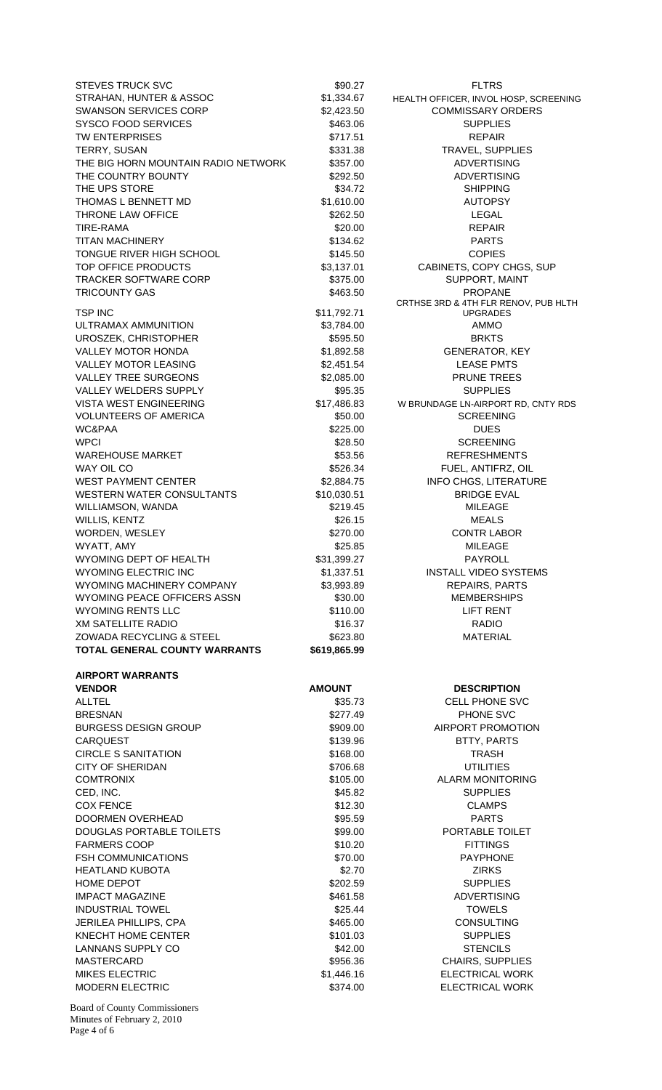STEVES TRUCK SVC \$90.27 FLTRS STRAHAN, HUNTER & ASSOC  $$1,334.67$  HEALTH OFFICER, INVOL HOSP, SCREENING SWANSON SERVICES CORP \$2,423.50 COMMISSARY ORDERS SYSCO FOOD SERVICES \$463.06 \$463.06 SUPPLIES TW ENTERPRISES **\$717.51 EXECUTE:** S717.51 **REPAIR** TERRY, SUSAN \$331.38 TERRY, SUSAN THE BIG HORN MOUNTAIN RADIO NETWORK \$357.00 ADVERTISING THE COUNTRY BOUNTY **\$292.50** ADVERTISING THE UPS STORE **\$34.72** SHIPPING THOMAS L BENNETT MD  $$1,610,00$  AUTOPSY THRONE LAW OFFICE **1200 CHAUGE 1200 CHAUGE 1200 CHAUGE 1200 CHAUGE 1200 CHAUGE 1200 CHAUGE 1200 CHAUGE 1200 CH** TIRE-RAMA \$20.00 REPAIR TITAN MACHINERY **\$134.62 PARTS** TONGUE RIVER HIGH SCHOOL **\$145.50** \$145.50 COPIES TOP OFFICE PRODUCTS  $$3,137.01$  CABINETS, COPY CHGS, SUP TRACKER SOFTWARE CORP \$375.00 SUPPORT, MAINT TRICOUNTY GAS **\$463.50** \$463.50 PROPANE TSP INC \$11,792.71 ULTRAMAX AMMUNITION \$3,784.00 \$3,784.00 UROSZEK, CHRISTOPHER \$595.50 BRKTS VALLEY MOTOR HONDA  $$1,892.58$  GENERATOR, KEY VALLEY MOTOR LEASING \$2,451.54 LEASE PMTS VALLEY TREE SURGEONS THE SURGEONS \$2,085.00 PRUNE TREES VALLEY WELDERS SUPPLY **\$95.35** SUPPLIES VISTA WEST ENGINEERING \$17,486.83 W BRUNDAGE LN-AIRPORT RD, CNTY RDS VOLUNTEERS OF AMERICA  $$50.00$  SCREENING WC&PAA \$225.00 DUES WPCI 80 NOVEMBER 100 NOVEMBER 100 NOVEMBER 100 NOVEMBER 100 NOVEMBER 100 NOVEMBER 100 NOVEMBER 100 NOVEMBER 10 WAREHOUSE MARKET \$53.56 REFRESHMENTS WAY OIL CO \$526.34 FUEL, ANTIFRZ, OIL WEST PAYMENT CENTER  $$2,884.75$  INFO CHGS, LITERATURE WESTERN WATER CONSULTANTS  $$10,030.51$  BRIDGE EVAL WILLIAMSON, WANDA \$219.45 MILEAGE WILLIS, KENTZ \$26.15 MEALS WORDEN, WESLEY **\$270.00** \$270.00 CONTR LABOR WYATT, AMY **\$25.85** MILEAGE WYOMING DEPT OF HEALTH \$31,399.27 PAYROLL WYOMING ELECTRIC INC **\$1,337.51** INSTALL VIDEO SYSTEMS WYOMING MACHINERY COMPANY 63,993.89 REPAIRS, PARTS WYOMING PEACE OFFICERS ASSN \$30.00 MEMBERSHIPS WYOMING RENTS LLC **\$110.00** Strings and the Strings of the Strings of the Strings and the Strings of the Strings of the Strings of the Strings of the Strings of the Strings of the Strings of the Strings of the Strings of t XM SATELLITE RADIO **12.12 RADIO** \$16.37 **RADIO** ZOWADA RECYCLING & STEEL \$623.80 MATERIAL **TOTAL GENERAL COUNTY WARRANTS \$619,865.99 AIRPORT WARRANTS VENDOR CONSUMING AMOUNT AMOUNT DESCRIPTION** ALLTEL \$35.73 CELL PHONE SVC BRESNAN \$277.49 PHONE SVC BURGESS DESIGN GROUP \$909.00 AIRPORT PROMOTION CARQUEST \$139.96 BTTY, PARTS CIRCLE S SANITATION \$168.00 TRASH CITY OF SHERIDAN \$706.68 UTILITIES COMTRONIX **8105.00 COMTRONIX COMTRONIX** CED, INC. SALES AND THE SERVICE SERVICES AND SUPPLIES AND SUPPLIES COX FENCE **\$12.30** CLAMPS DOORMEN OVERHEAD 595.59 SOLUTION SOLUTION SANDWARTS DOUGLAS PORTABLE TOILETS \$99.00 PORTABLE TOILET FARMERS COOP \$10.20 FITTINGS FSH COMMUNICATIONS  $$70.00$  PAYPHONE HEATLAND KUBOTA \$2.70 ZIRKS HOME DEPOT THE SAME OF THE SECTION SECTION AND SUPPLIES IMPACT MAGAZINE **\$461.58** ADVERTISING INDUSTRIAL TOWEL \$25.44 TOWELS JERILEA PHILLIPS, CPA **1999 120 CONSULTING** \$465.00 CONSULTING KNECHT HOME CENTER **\$101.03** SUPPLIES LANNANS SUPPLY CO **1999 SENSILS** \$42.00 STENCILS MASTERCARD \$956.36 CHAIRS, SUPPLIES MIKES ELECTRIC **12 CONTROLL 10 CONTROLL 10 CONTROLL 10 CONTROLL 10 CONTROLL 10 CONTROLL 10 CONTROLL 10 CONTROLL 10 CONTROLL 10 CONTROLL 10 CONTROLL 10 CONTROLL 10 CONTROLL 10 CONTROLL 10 CONTROLL 10 CONTROLL 10 CONTROLL 10** MODERN ELECTRIC **\$374.00** S374.00 ELECTRICAL WORK

CRTHSE 3RD & 4TH FLR RENOV, PUB HLTH UPGRADES

Board of County Commissioners Minutes of February 2, 2010 Page 4 of 6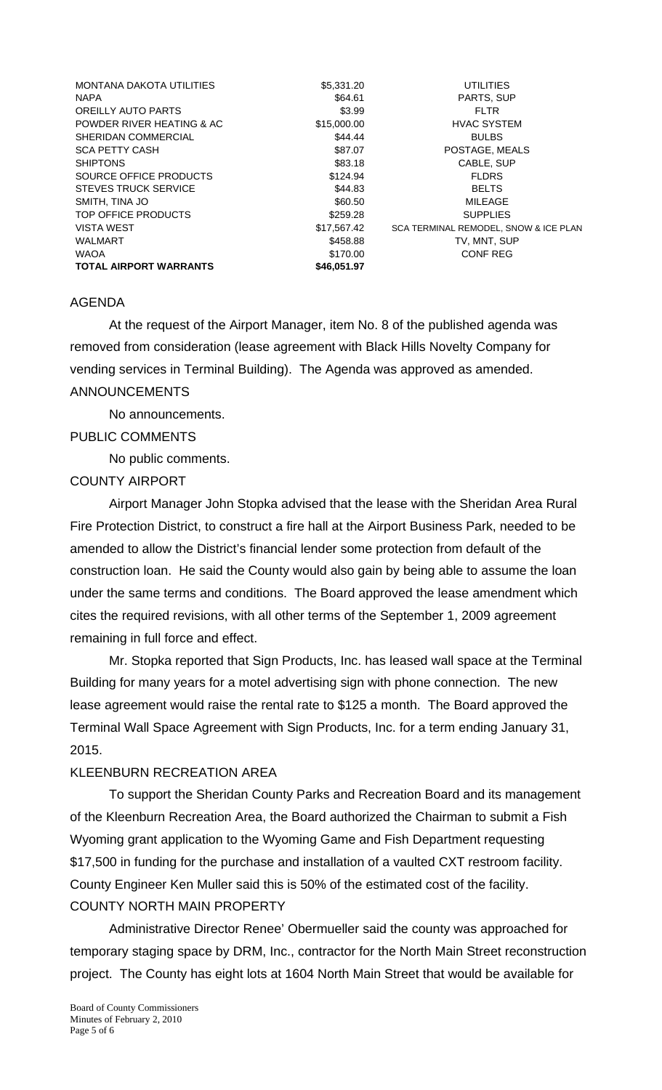| <b>MONTANA DAKOTA UTILITIES</b> | \$5,331.20  | UTILITIES                             |
|---------------------------------|-------------|---------------------------------------|
| <b>NAPA</b>                     | \$64.61     | PARTS, SUP                            |
| OREILLY AUTO PARTS              | \$3.99      | <b>FLTR</b>                           |
| POWDER RIVER HEATING & AC       | \$15,000.00 | <b>HVAC SYSTEM</b>                    |
| SHERIDAN COMMERCIAL             | \$44.44     | <b>BULBS</b>                          |
| <b>SCA PETTY CASH</b>           | \$87.07     | POSTAGE, MEALS                        |
| <b>SHIPTONS</b>                 | \$83.18     | CABLE, SUP                            |
| SOURCE OFFICE PRODUCTS          | \$124.94    | <b>FLDRS</b>                          |
| <b>STEVES TRUCK SERVICE</b>     | \$44.83     | <b>BELTS</b>                          |
| SMITH, TINA JO                  | \$60.50     | MILEAGE                               |
| TOP OFFICE PRODUCTS             | \$259.28    | <b>SUPPLIES</b>                       |
| <b>VISTA WEST</b>               | \$17,567.42 | SCA TERMINAL REMODEL, SNOW & ICE PLAN |
| <b>WALMART</b>                  | \$458.88    | TV, MNT, SUP                          |
| <b>WAOA</b>                     | \$170.00    | <b>CONF REG</b>                       |
| <b>TOTAL AIRPORT WARRANTS</b>   | \$46.051.97 |                                       |

#### AGENDA

 At the request of the Airport Manager, item No. 8 of the published agenda was removed from consideration (lease agreement with Black Hills Novelty Company for vending services in Terminal Building). The Agenda was approved as amended. ANNOUNCEMENTS

No announcements.

## PUBLIC COMMENTS

No public comments.

## COUNTY AIRPORT

 Airport Manager John Stopka advised that the lease with the Sheridan Area Rural Fire Protection District, to construct a fire hall at the Airport Business Park, needed to be amended to allow the District's financial lender some protection from default of the construction loan. He said the County would also gain by being able to assume the loan under the same terms and conditions. The Board approved the lease amendment which cites the required revisions, with all other terms of the September 1, 2009 agreement remaining in full force and effect.

 Mr. Stopka reported that Sign Products, Inc. has leased wall space at the Terminal Building for many years for a motel advertising sign with phone connection. The new lease agreement would raise the rental rate to \$125 a month. The Board approved the Terminal Wall Space Agreement with Sign Products, Inc. for a term ending January 31, 2015.

## KLEENBURN RECREATION AREA

 To support the Sheridan County Parks and Recreation Board and its management of the Kleenburn Recreation Area, the Board authorized the Chairman to submit a Fish Wyoming grant application to the Wyoming Game and Fish Department requesting \$17,500 in funding for the purchase and installation of a vaulted CXT restroom facility. County Engineer Ken Muller said this is 50% of the estimated cost of the facility. COUNTY NORTH MAIN PROPERTY

 Administrative Director Renee' Obermueller said the county was approached for temporary staging space by DRM, Inc., contractor for the North Main Street reconstruction project. The County has eight lots at 1604 North Main Street that would be available for